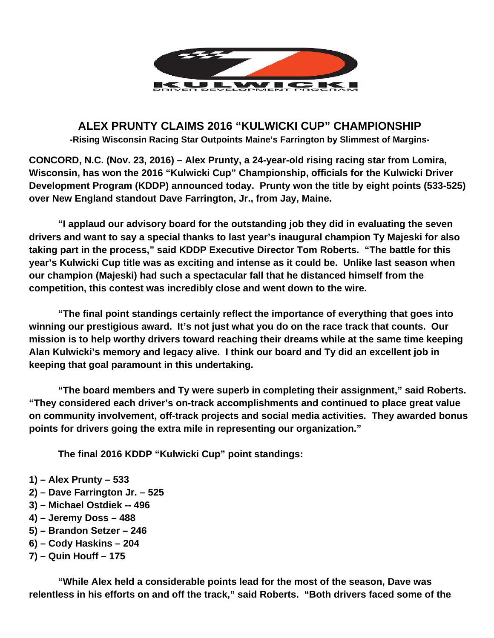

# **ALEX PRUNTY CLAIMS 2016 "KULWICKI CUP" CHAMPIONSHIP -Rising Wisconsin Racing Star Outpoints Maine's Farrington by Slimmest of Margins-**

**CONCORD, N.C. (Nov. 23, 2016) – Alex Prunty, a 24-year-old rising racing star from Lomira, Wisconsin, has won the 2016 "Kulwicki Cup" Championship, officials for the Kulwicki Driver Development Program (KDDP) announced today. Prunty won the title by eight points (533-525) over New England standout Dave Farrington, Jr., from Jay, Maine.** 

 **"I applaud our advisory board for the outstanding job they did in evaluating the seven drivers and want to say a special thanks to last year's inaugural champion Ty Majeski for also taking part in the process," said KDDP Executive Director Tom Roberts. "The battle for this year's Kulwicki Cup title was as exciting and intense as it could be. Unlike last season when our champion (Majeski) had such a spectacular fall that he distanced himself from the competition, this contest was incredibly close and went down to the wire.** 

 **"The final point standings certainly reflect the importance of everything that goes into winning our prestigious award. It's not just what you do on the race track that counts. Our mission is to help worthy drivers toward reaching their dreams while at the same time keeping Alan Kulwicki's memory and legacy alive. I think our board and Ty did an excellent job in keeping that goal paramount in this undertaking.** 

 **"The board members and Ty were superb in completing their assignment," said Roberts. "They considered each driver's on-track accomplishments and continued to place great value on community involvement, off-track projects and social media activities. They awarded bonus points for drivers going the extra mile in representing our organization."** 

**The final 2016 KDDP "Kulwicki Cup" point standings:**

- **1) Alex Prunty 533**
- **2) Dave Farrington Jr. 525**
- **3) Michael Ostdiek -- 496**
- **4) Jeremy Doss 488**
- **5) Brandon Setzer 246**
- **6) Cody Haskins 204**
- **7) Quin Houff 175**

 **"While Alex held a considerable points lead for the most of the season, Dave was relentless in his efforts on and off the track," said Roberts. "Both drivers faced some of the**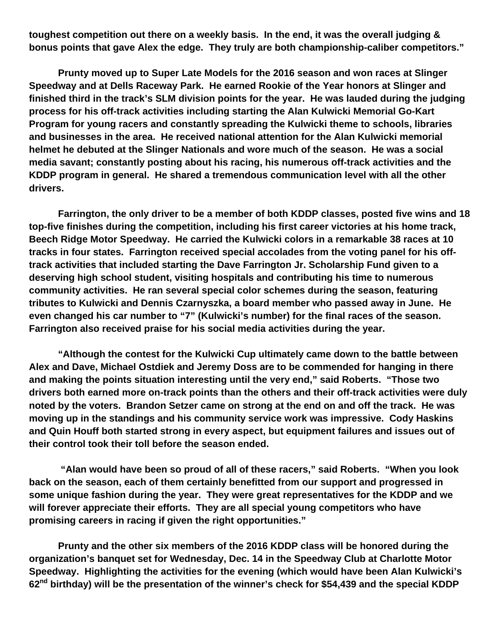**toughest competition out there on a weekly basis. In the end, it was the overall judging & bonus points that gave Alex the edge. They truly are both championship-caliber competitors."** 

**Prunty moved up to Super Late Models for the 2016 season and won races at Slinger Speedway and at Dells Raceway Park. He earned Rookie of the Year honors at Slinger and finished third in the track's SLM division points for the year. He was lauded during the judging process for his off-track activities including starting the Alan Kulwicki Memorial Go-Kart Program for young racers and constantly spreading the Kulwicki theme to schools, libraries and businesses in the area. He received national attention for the Alan Kulwicki memorial helmet he debuted at the Slinger Nationals and wore much of the season. He was a social media savant; constantly posting about his racing, his numerous off-track activities and the KDDP program in general. He shared a tremendous communication level with all the other drivers.** 

 **Farrington, the only driver to be a member of both KDDP classes, posted five wins and 18 top-five finishes during the competition, including his first career victories at his home track, Beech Ridge Motor Speedway. He carried the Kulwicki colors in a remarkable 38 races at 10 tracks in four states. Farrington received special accolades from the voting panel for his offtrack activities that included starting the Dave Farrington Jr. Scholarship Fund given to a deserving high school student, visiting hospitals and contributing his time to numerous community activities. He ran several special color schemes during the season, featuring tributes to Kulwicki and Dennis Czarnyszka, a board member who passed away in June. He even changed his car number to "7" (Kulwicki's number) for the final races of the season. Farrington also received praise for his social media activities during the year.** 

 **"Although the contest for the Kulwicki Cup ultimately came down to the battle between Alex and Dave, Michael Ostdiek and Jeremy Doss are to be commended for hanging in there and making the points situation interesting until the very end," said Roberts. "Those two drivers both earned more on-track points than the others and their off-track activities were duly noted by the voters. Brandon Setzer came on strong at the end on and off the track. He was moving up in the standings and his community service work was impressive. Cody Haskins and Quin Houff both started strong in every aspect, but equipment failures and issues out of their control took their toll before the season ended.** 

 **"Alan would have been so proud of all of these racers," said Roberts. "When you look back on the season, each of them certainly benefitted from our support and progressed in some unique fashion during the year. They were great representatives for the KDDP and we will forever appreciate their efforts. They are all special young competitors who have promising careers in racing if given the right opportunities."** 

**Prunty and the other six members of the 2016 KDDP class will be honored during the organization's banquet set for Wednesday, Dec. 14 in the Speedway Club at Charlotte Motor Speedway. Highlighting the activities for the evening (which would have been Alan Kulwicki's 62nd birthday) will be the presentation of the winner's check for \$54,439 and the special KDDP**